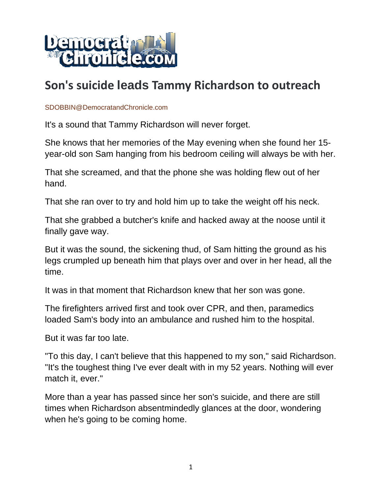

# **Son's suicide leads Tammy Richardson to outreach**

#### SDOBBIN@DemocratandChronicle.com

It's a sound that Tammy Richardson will never forget.

She knows that her memories of the May evening when she found her 15 year-old son Sam hanging from his bedroom ceiling will always be with her.

That she screamed, and that the phone she was holding flew out of her hand.

That she ran over to try and hold him up to take the weight off his neck.

That she grabbed a butcher's knife and hacked away at the noose until it finally gave way.

But it was the sound, the sickening thud, of Sam hitting the ground as his legs crumpled up beneath him that plays over and over in her head, all the time.

It was in that moment that Richardson knew that her son was gone.

The firefighters arrived first and took over CPR, and then, paramedics loaded Sam's body into an ambulance and rushed him to the hospital.

But it was far too late.

"To this day, I can't believe that this happened to my son," said Richardson. "It's the toughest thing I've ever dealt with in my 52 years. Nothing will ever match it, ever."

More than a year has passed since her son's suicide, and there are still times when Richardson absentmindedly glances at the door, wondering when he's going to be coming home.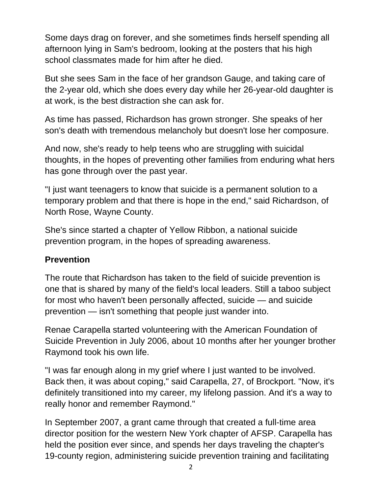Some days drag on forever, and she sometimes finds herself spending all afternoon lying in Sam's bedroom, looking at the posters that his high school classmates made for him after he died.

But she sees Sam in the face of her grandson Gauge, and taking care of the 2-year old, which she does every day while her 26-year-old daughter is at work, is the best distraction she can ask for.

As time has passed, Richardson has grown stronger. She speaks of her son's death with tremendous melancholy but doesn't lose her composure.

And now, she's ready to help teens who are struggling with suicidal thoughts, in the hopes of preventing other families from enduring what hers has gone through over the past year.

"I just want teenagers to know that suicide is a permanent solution to a temporary problem and that there is hope in the end," said Richardson, of North Rose, Wayne County.

She's since started a chapter of Yellow Ribbon, a national suicide prevention program, in the hopes of spreading awareness.

#### **Prevention**

The route that Richardson has taken to the field of suicide prevention is one that is shared by many of the field's local leaders. Still a taboo subject for most who haven't been personally affected, suicide — and suicide prevention — isn't something that people just wander into.

Renae Carapella started volunteering with the American Foundation of Suicide Prevention in July 2006, about 10 months after her younger brother Raymond took his own life.

"I was far enough along in my grief where I just wanted to be involved. Back then, it was about coping," said Carapella, 27, of Brockport. "Now, it's definitely transitioned into my career, my lifelong passion. And it's a way to really honor and remember Raymond."

In September 2007, a grant came through that created a full-time area director position for the western New York chapter of AFSP. Carapella has held the position ever since, and spends her days traveling the chapter's 19-county region, administering suicide prevention training and facilitating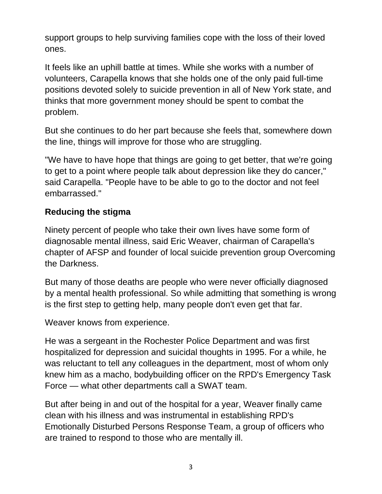support groups to help surviving families cope with the loss of their loved ones.

It feels like an uphill battle at times. While she works with a number of volunteers, Carapella knows that she holds one of the only paid full-time positions devoted solely to suicide prevention in all of New York state, and thinks that more government money should be spent to combat the problem.

But she continues to do her part because she feels that, somewhere down the line, things will improve for those who are struggling.

"We have to have hope that things are going to get better, that we're going to get to a point where people talk about depression like they do cancer," said Carapella. "People have to be able to go to the doctor and not feel embarrassed."

## **Reducing the stigma**

Ninety percent of people who take their own lives have some form of diagnosable mental illness, said Eric Weaver, chairman of Carapella's chapter of AFSP and founder of local suicide prevention group Overcoming the Darkness.

But many of those deaths are people who were never officially diagnosed by a mental health professional. So while admitting that something is wrong is the first step to getting help, many people don't even get that far.

Weaver knows from experience.

He was a sergeant in the Rochester Police Department and was first hospitalized for depression and suicidal thoughts in 1995. For a while, he was reluctant to tell any colleagues in the department, most of whom only knew him as a macho, bodybuilding officer on the RPD's Emergency Task Force — what other departments call a SWAT team.

But after being in and out of the hospital for a year, Weaver finally came clean with his illness and was instrumental in establishing RPD's Emotionally Disturbed Persons Response Team, a group of officers who are trained to respond to those who are mentally ill.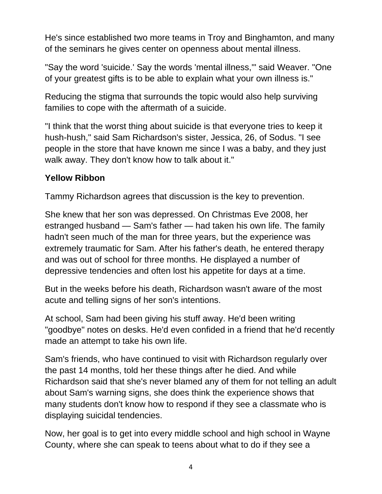He's since established two more teams in Troy and Binghamton, and many of the seminars he gives center on openness about mental illness.

"Say the word 'suicide.' Say the words 'mental illness,'" said Weaver. "One of your greatest gifts is to be able to explain what your own illness is."

Reducing the stigma that surrounds the topic would also help surviving families to cope with the aftermath of a suicide.

"I think that the worst thing about suicide is that everyone tries to keep it hush-hush," said Sam Richardson's sister, Jessica, 26, of Sodus. "I see people in the store that have known me since I was a baby, and they just walk away. They don't know how to talk about it."

#### **Yellow Ribbon**

Tammy Richardson agrees that discussion is the key to prevention.

She knew that her son was depressed. On Christmas Eve 2008, her estranged husband — Sam's father — had taken his own life. The family hadn't seen much of the man for three years, but the experience was extremely traumatic for Sam. After his father's death, he entered therapy and was out of school for three months. He displayed a number of depressive tendencies and often lost his appetite for days at a time.

But in the weeks before his death, Richardson wasn't aware of the most acute and telling signs of her son's intentions.

At school, Sam had been giving his stuff away. He'd been writing "goodbye" notes on desks. He'd even confided in a friend that he'd recently made an attempt to take his own life.

Sam's friends, who have continued to visit with Richardson regularly over the past 14 months, told her these things after he died. And while Richardson said that she's never blamed any of them for not telling an adult about Sam's warning signs, she does think the experience shows that many students don't know how to respond if they see a classmate who is displaying suicidal tendencies.

Now, her goal is to get into every middle school and high school in Wayne County, where she can speak to teens about what to do if they see a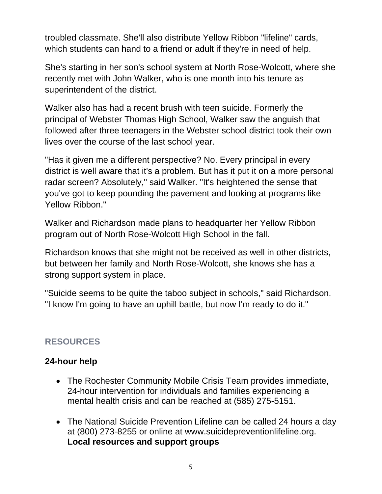troubled classmate. She'll also distribute Yellow Ribbon "lifeline" cards, which students can hand to a friend or adult if they're in need of help.

She's starting in her son's school system at North Rose-Wolcott, where she recently met with John Walker, who is one month into his tenure as superintendent of the district.

Walker also has had a recent brush with teen suicide. Formerly the principal of Webster Thomas High School, Walker saw the anguish that followed after three teenagers in the Webster school district took their own lives over the course of the last school year.

"Has it given me a different perspective? No. Every principal in every district is well aware that it's a problem. But has it put it on a more personal radar screen? Absolutely," said Walker. "It's heightened the sense that you've got to keep pounding the pavement and looking at programs like Yellow Ribbon."

Walker and Richardson made plans to headquarter her Yellow Ribbon program out of North Rose-Wolcott High School in the fall.

Richardson knows that she might not be received as well in other districts, but between her family and North Rose-Wolcott, she knows she has a strong support system in place.

"Suicide seems to be quite the taboo subject in schools," said Richardson. "I know I'm going to have an uphill battle, but now I'm ready to do it."

# **RESOURCES**

### **24-hour help**

- The Rochester Community Mobile Crisis Team provides immediate, 24-hour intervention for individuals and families experiencing a mental health crisis and can be reached at (585) 275-5151.
- The National Suicide Prevention Lifeline can be called 24 hours a day at (800) 273-8255 or online at www.suicidepreventionlifeline.org. **Local resources and support groups**